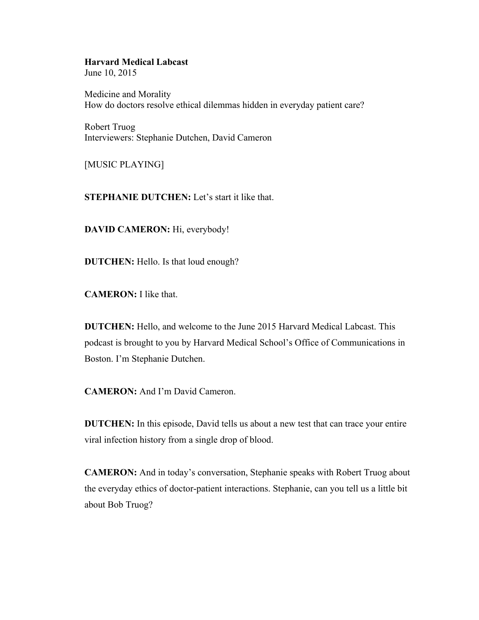## **Harvard Medical Labcast**

June 10, 2015

Medicine and Morality How do doctors resolve ethical dilemmas hidden in everyday patient care?

Robert Truog Interviewers: Stephanie Dutchen, David Cameron

[MUSIC PLAYING]

**STEPHANIE DUTCHEN:** Let's start it like that.

**DAVID CAMERON:** Hi, everybody!

**DUTCHEN:** Hello. Is that loud enough?

**CAMERON:** I like that.

**DUTCHEN:** Hello, and welcome to the June 2015 Harvard Medical Labcast. This podcast is brought to you by Harvard Medical School's Office of Communications in Boston. I'm Stephanie Dutchen.

**CAMERON:** And I'm David Cameron.

**DUTCHEN:** In this episode, David tells us about a new test that can trace your entire viral infection history from a single drop of blood.

**CAMERON:** And in today's conversation, Stephanie speaks with Robert Truog about the everyday ethics of doctor-patient interactions. Stephanie, can you tell us a little bit about Bob Truog?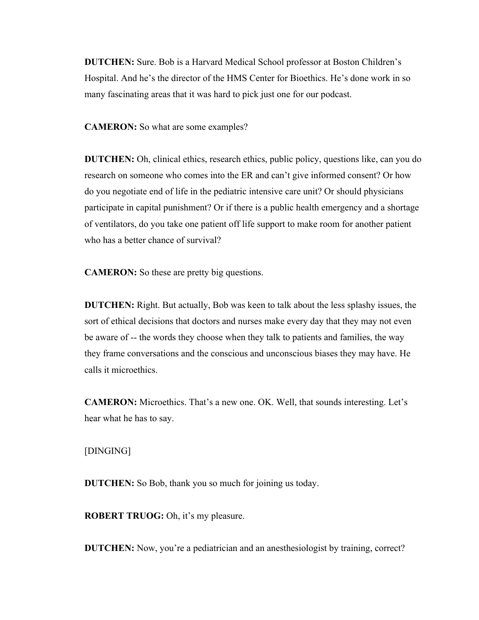**DUTCHEN:** Sure. Bob is a Harvard Medical School professor at Boston Children's Hospital. And he's the director of the HMS Center for Bioethics. He's done work in so many fascinating areas that it was hard to pick just one for our podcast.

**CAMERON:** So what are some examples?

**DUTCHEN:** Oh, clinical ethics, research ethics, public policy, questions like, can you do research on someone who comes into the ER and can't give informed consent? Or how do you negotiate end of life in the pediatric intensive care unit? Or should physicians participate in capital punishment? Or if there is a public health emergency and a shortage of ventilators, do you take one patient off life support to make room for another patient who has a better chance of survival?

**CAMERON:** So these are pretty big questions.

**DUTCHEN:** Right. But actually, Bob was keen to talk about the less splashy issues, the sort of ethical decisions that doctors and nurses make every day that they may not even be aware of -- the words they choose when they talk to patients and families, the way they frame conversations and the conscious and unconscious biases they may have. He calls it microethics.

**CAMERON:** Microethics. That's a new one. OK. Well, that sounds interesting. Let's hear what he has to say.

[DINGING]

**DUTCHEN:** So Bob, thank you so much for joining us today.

**ROBERT TRUOG:** Oh, it's my pleasure.

**DUTCHEN:** Now, you're a pediatrician and an anesthesiologist by training, correct?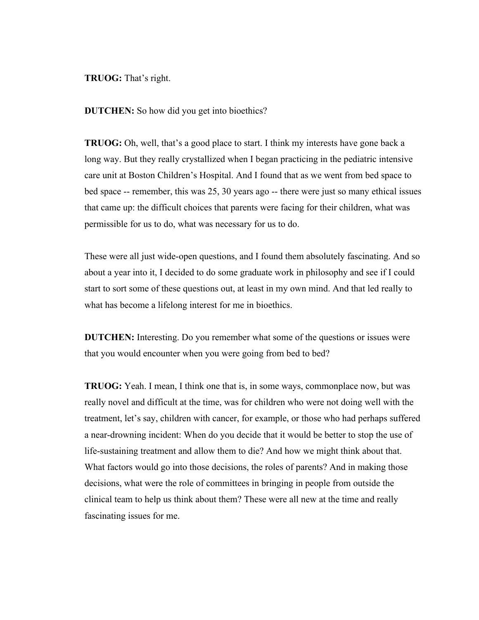**TRUOG:** That's right.

**DUTCHEN:** So how did you get into bioethics?

**TRUOG:** Oh, well, that's a good place to start. I think my interests have gone back a long way. But they really crystallized when I began practicing in the pediatric intensive care unit at Boston Children's Hospital. And I found that as we went from bed space to bed space -- remember, this was 25, 30 years ago -- there were just so many ethical issues that came up: the difficult choices that parents were facing for their children, what was permissible for us to do, what was necessary for us to do.

These were all just wide-open questions, and I found them absolutely fascinating. And so about a year into it, I decided to do some graduate work in philosophy and see if I could start to sort some of these questions out, at least in my own mind. And that led really to what has become a lifelong interest for me in bioethics.

**DUTCHEN:** Interesting. Do you remember what some of the questions or issues were that you would encounter when you were going from bed to bed?

**TRUOG:** Yeah. I mean, I think one that is, in some ways, commonplace now, but was really novel and difficult at the time, was for children who were not doing well with the treatment, let's say, children with cancer, for example, or those who had perhaps suffered a near-drowning incident: When do you decide that it would be better to stop the use of life-sustaining treatment and allow them to die? And how we might think about that. What factors would go into those decisions, the roles of parents? And in making those decisions, what were the role of committees in bringing in people from outside the clinical team to help us think about them? These were all new at the time and really fascinating issues for me.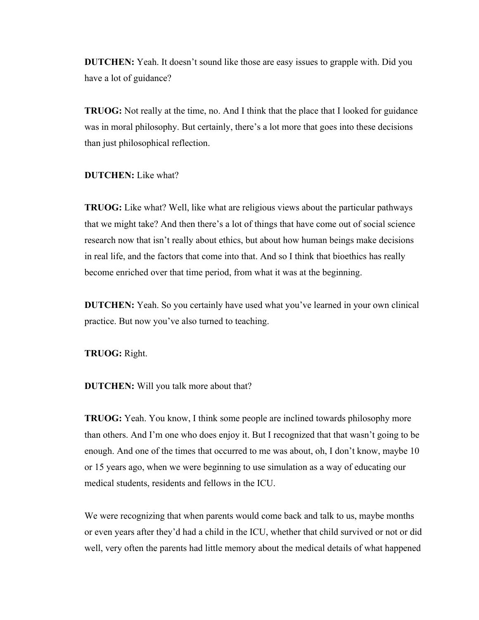**DUTCHEN:** Yeah. It doesn't sound like those are easy issues to grapple with. Did you have a lot of guidance?

**TRUOG:** Not really at the time, no. And I think that the place that I looked for guidance was in moral philosophy. But certainly, there's a lot more that goes into these decisions than just philosophical reflection.

**DUTCHEN:** Like what?

**TRUOG:** Like what? Well, like what are religious views about the particular pathways that we might take? And then there's a lot of things that have come out of social science research now that isn't really about ethics, but about how human beings make decisions in real life, and the factors that come into that. And so I think that bioethics has really become enriched over that time period, from what it was at the beginning.

**DUTCHEN:** Yeah. So you certainly have used what you've learned in your own clinical practice. But now you've also turned to teaching.

**TRUOG:** Right.

**DUTCHEN:** Will you talk more about that?

**TRUOG:** Yeah. You know, I think some people are inclined towards philosophy more than others. And I'm one who does enjoy it. But I recognized that that wasn't going to be enough. And one of the times that occurred to me was about, oh, I don't know, maybe 10 or 15 years ago, when we were beginning to use simulation as a way of educating our medical students, residents and fellows in the ICU.

We were recognizing that when parents would come back and talk to us, maybe months or even years after they'd had a child in the ICU, whether that child survived or not or did well, very often the parents had little memory about the medical details of what happened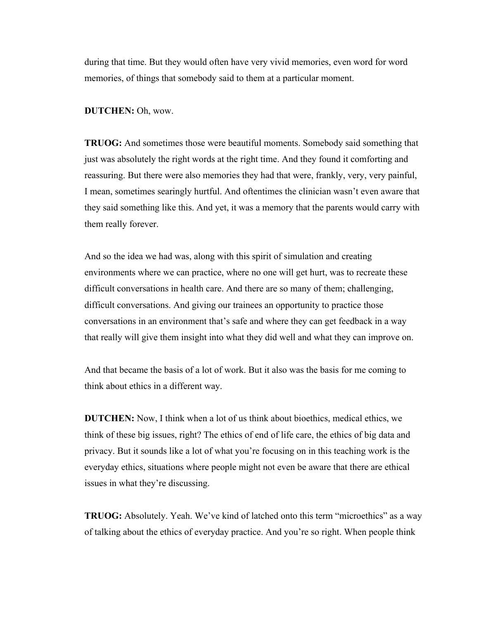during that time. But they would often have very vivid memories, even word for word memories, of things that somebody said to them at a particular moment.

## **DUTCHEN:** Oh, wow.

**TRUOG:** And sometimes those were beautiful moments. Somebody said something that just was absolutely the right words at the right time. And they found it comforting and reassuring. But there were also memories they had that were, frankly, very, very painful, I mean, sometimes searingly hurtful. And oftentimes the clinician wasn't even aware that they said something like this. And yet, it was a memory that the parents would carry with them really forever.

And so the idea we had was, along with this spirit of simulation and creating environments where we can practice, where no one will get hurt, was to recreate these difficult conversations in health care. And there are so many of them; challenging, difficult conversations. And giving our trainees an opportunity to practice those conversations in an environment that's safe and where they can get feedback in a way that really will give them insight into what they did well and what they can improve on.

And that became the basis of a lot of work. But it also was the basis for me coming to think about ethics in a different way.

**DUTCHEN:** Now, I think when a lot of us think about bioethics, medical ethics, we think of these big issues, right? The ethics of end of life care, the ethics of big data and privacy. But it sounds like a lot of what you're focusing on in this teaching work is the everyday ethics, situations where people might not even be aware that there are ethical issues in what they're discussing.

**TRUOG:** Absolutely. Yeah. We've kind of latched onto this term "microethics" as a way of talking about the ethics of everyday practice. And you're so right. When people think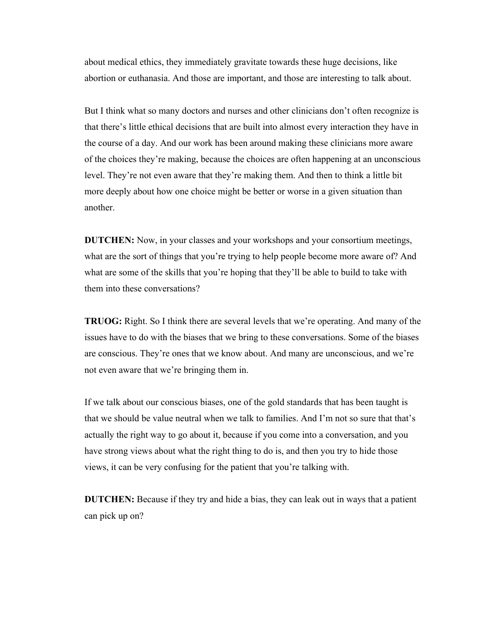about medical ethics, they immediately gravitate towards these huge decisions, like abortion or euthanasia. And those are important, and those are interesting to talk about.

But I think what so many doctors and nurses and other clinicians don't often recognize is that there's little ethical decisions that are built into almost every interaction they have in the course of a day. And our work has been around making these clinicians more aware of the choices they're making, because the choices are often happening at an unconscious level. They're not even aware that they're making them. And then to think a little bit more deeply about how one choice might be better or worse in a given situation than another.

**DUTCHEN:** Now, in your classes and your workshops and your consortium meetings, what are the sort of things that you're trying to help people become more aware of? And what are some of the skills that you're hoping that they'll be able to build to take with them into these conversations?

**TRUOG:** Right. So I think there are several levels that we're operating. And many of the issues have to do with the biases that we bring to these conversations. Some of the biases are conscious. They're ones that we know about. And many are unconscious, and we're not even aware that we're bringing them in.

If we talk about our conscious biases, one of the gold standards that has been taught is that we should be value neutral when we talk to families. And I'm not so sure that that's actually the right way to go about it, because if you come into a conversation, and you have strong views about what the right thing to do is, and then you try to hide those views, it can be very confusing for the patient that you're talking with.

**DUTCHEN:** Because if they try and hide a bias, they can leak out in ways that a patient can pick up on?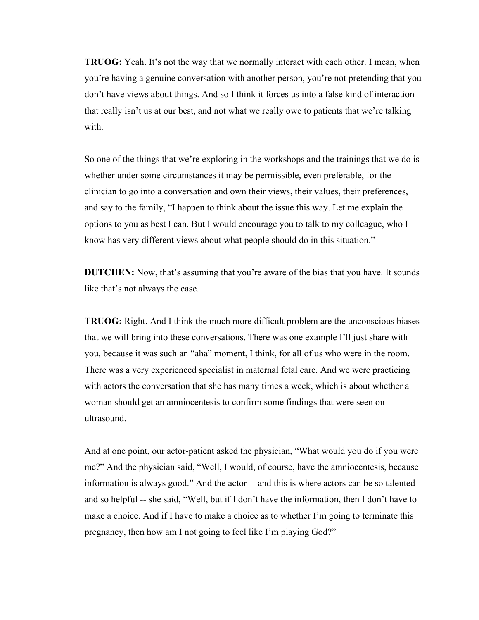**TRUOG:** Yeah. It's not the way that we normally interact with each other. I mean, when you're having a genuine conversation with another person, you're not pretending that you don't have views about things. And so I think it forces us into a false kind of interaction that really isn't us at our best, and not what we really owe to patients that we're talking with

So one of the things that we're exploring in the workshops and the trainings that we do is whether under some circumstances it may be permissible, even preferable, for the clinician to go into a conversation and own their views, their values, their preferences, and say to the family, "I happen to think about the issue this way. Let me explain the options to you as best I can. But I would encourage you to talk to my colleague, who I know has very different views about what people should do in this situation."

**DUTCHEN:** Now, that's assuming that you're aware of the bias that you have. It sounds like that's not always the case.

**TRUOG:** Right. And I think the much more difficult problem are the unconscious biases that we will bring into these conversations. There was one example I'll just share with you, because it was such an "aha" moment, I think, for all of us who were in the room. There was a very experienced specialist in maternal fetal care. And we were practicing with actors the conversation that she has many times a week, which is about whether a woman should get an amniocentesis to confirm some findings that were seen on ultrasound.

And at one point, our actor-patient asked the physician, "What would you do if you were me?" And the physician said, "Well, I would, of course, have the amniocentesis, because information is always good." And the actor -- and this is where actors can be so talented and so helpful -- she said, "Well, but if I don't have the information, then I don't have to make a choice. And if I have to make a choice as to whether I'm going to terminate this pregnancy, then how am I not going to feel like I'm playing God?"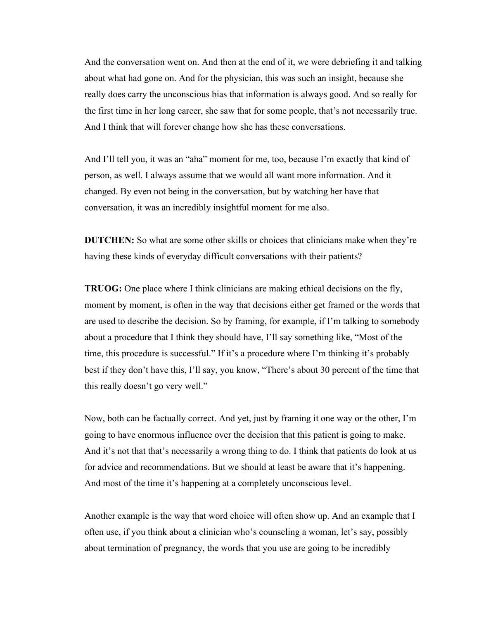And the conversation went on. And then at the end of it, we were debriefing it and talking about what had gone on. And for the physician, this was such an insight, because she really does carry the unconscious bias that information is always good. And so really for the first time in her long career, she saw that for some people, that's not necessarily true. And I think that will forever change how she has these conversations.

And I'll tell you, it was an "aha" moment for me, too, because I'm exactly that kind of person, as well. I always assume that we would all want more information. And it changed. By even not being in the conversation, but by watching her have that conversation, it was an incredibly insightful moment for me also.

**DUTCHEN:** So what are some other skills or choices that clinicians make when they're having these kinds of everyday difficult conversations with their patients?

**TRUOG:** One place where I think clinicians are making ethical decisions on the fly, moment by moment, is often in the way that decisions either get framed or the words that are used to describe the decision. So by framing, for example, if I'm talking to somebody about a procedure that I think they should have, I'll say something like, "Most of the time, this procedure is successful." If it's a procedure where I'm thinking it's probably best if they don't have this, I'll say, you know, "There's about 30 percent of the time that this really doesn't go very well."

Now, both can be factually correct. And yet, just by framing it one way or the other, I'm going to have enormous influence over the decision that this patient is going to make. And it's not that that's necessarily a wrong thing to do. I think that patients do look at us for advice and recommendations. But we should at least be aware that it's happening. And most of the time it's happening at a completely unconscious level.

Another example is the way that word choice will often show up. And an example that I often use, if you think about a clinician who's counseling a woman, let's say, possibly about termination of pregnancy, the words that you use are going to be incredibly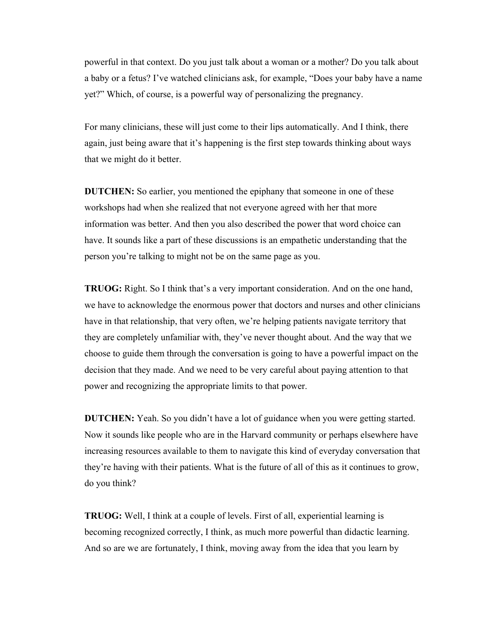powerful in that context. Do you just talk about a woman or a mother? Do you talk about a baby or a fetus? I've watched clinicians ask, for example, "Does your baby have a name yet?" Which, of course, is a powerful way of personalizing the pregnancy.

For many clinicians, these will just come to their lips automatically. And I think, there again, just being aware that it's happening is the first step towards thinking about ways that we might do it better.

**DUTCHEN:** So earlier, you mentioned the epiphany that someone in one of these workshops had when she realized that not everyone agreed with her that more information was better. And then you also described the power that word choice can have. It sounds like a part of these discussions is an empathetic understanding that the person you're talking to might not be on the same page as you.

**TRUOG:** Right. So I think that's a very important consideration. And on the one hand, we have to acknowledge the enormous power that doctors and nurses and other clinicians have in that relationship, that very often, we're helping patients navigate territory that they are completely unfamiliar with, they've never thought about. And the way that we choose to guide them through the conversation is going to have a powerful impact on the decision that they made. And we need to be very careful about paying attention to that power and recognizing the appropriate limits to that power.

**DUTCHEN:** Yeah. So you didn't have a lot of guidance when you were getting started. Now it sounds like people who are in the Harvard community or perhaps elsewhere have increasing resources available to them to navigate this kind of everyday conversation that they're having with their patients. What is the future of all of this as it continues to grow, do you think?

**TRUOG:** Well, I think at a couple of levels. First of all, experiential learning is becoming recognized correctly, I think, as much more powerful than didactic learning. And so are we are fortunately, I think, moving away from the idea that you learn by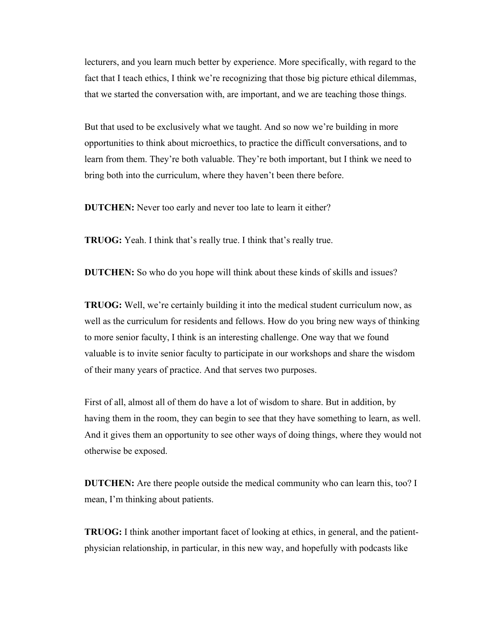lecturers, and you learn much better by experience. More specifically, with regard to the fact that I teach ethics, I think we're recognizing that those big picture ethical dilemmas, that we started the conversation with, are important, and we are teaching those things.

But that used to be exclusively what we taught. And so now we're building in more opportunities to think about microethics, to practice the difficult conversations, and to learn from them. They're both valuable. They're both important, but I think we need to bring both into the curriculum, where they haven't been there before.

**DUTCHEN:** Never too early and never too late to learn it either?

**TRUOG:** Yeah. I think that's really true. I think that's really true.

**DUTCHEN:** So who do you hope will think about these kinds of skills and issues?

**TRUOG:** Well, we're certainly building it into the medical student curriculum now, as well as the curriculum for residents and fellows. How do you bring new ways of thinking to more senior faculty, I think is an interesting challenge. One way that we found valuable is to invite senior faculty to participate in our workshops and share the wisdom of their many years of practice. And that serves two purposes.

First of all, almost all of them do have a lot of wisdom to share. But in addition, by having them in the room, they can begin to see that they have something to learn, as well. And it gives them an opportunity to see other ways of doing things, where they would not otherwise be exposed.

**DUTCHEN:** Are there people outside the medical community who can learn this, too? I mean, I'm thinking about patients.

**TRUOG:** I think another important facet of looking at ethics, in general, and the patientphysician relationship, in particular, in this new way, and hopefully with podcasts like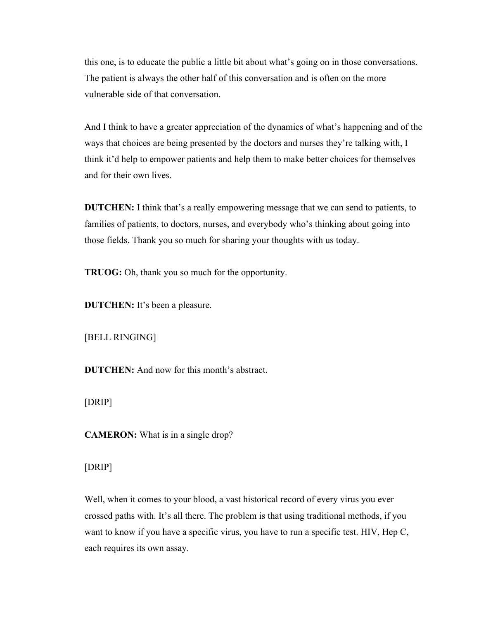this one, is to educate the public a little bit about what's going on in those conversations. The patient is always the other half of this conversation and is often on the more vulnerable side of that conversation.

And I think to have a greater appreciation of the dynamics of what's happening and of the ways that choices are being presented by the doctors and nurses they're talking with, I think it'd help to empower patients and help them to make better choices for themselves and for their own lives.

**DUTCHEN:** I think that's a really empowering message that we can send to patients, to families of patients, to doctors, nurses, and everybody who's thinking about going into those fields. Thank you so much for sharing your thoughts with us today.

**TRUOG:** Oh, thank you so much for the opportunity.

**DUTCHEN:** It's been a pleasure.

[BELL RINGING]

**DUTCHEN:** And now for this month's abstract.

[DRIP]

**CAMERON:** What is in a single drop?

[DRIP]

Well, when it comes to your blood, a vast historical record of every virus you ever crossed paths with. It's all there. The problem is that using traditional methods, if you want to know if you have a specific virus, you have to run a specific test. HIV, Hep C, each requires its own assay.